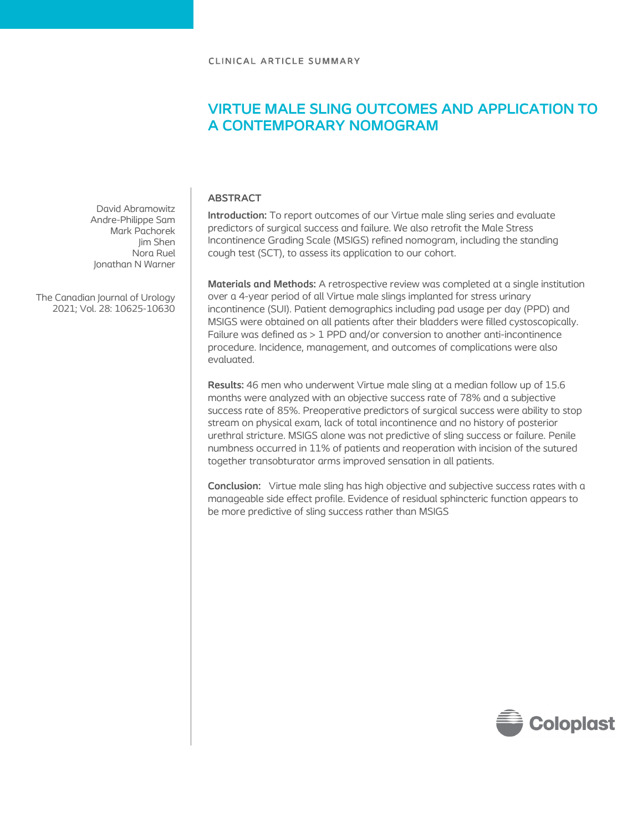# VIRTUE MALE SLING OUTCOMES AND APPLICATION TO A CONTEMPORARY NOMOGRAM

# ABSTRACT

David Abramowitz Andre-Philippe Sam Mark Pachorek Jim Shen Nora Ruel Jonathan N Warner

The Canadian Journal of Urology 2021; Vol. 28: 10625-10630 Introduction: To report outcomes of our Virtue male sling series and evaluate predictors of surgical success and failure. We also retrofit the Male Stress Incontinence Grading Scale (MSIGS) refined nomogram, including the standing cough test (SCT), to assess its application to our cohort.

Materials and Methods: A retrospective review was completed at a single institution over a 4-year period of all Virtue male slings implanted for stress urinary incontinence (SUI). Patient demographics including pad usage per day (PPD) and MSIGS were obtained on all patients after their bladders were filled cystoscopically. Failure was defined as > 1 PPD and/or conversion to another anti-incontinence procedure. Incidence, management, and outcomes of complications were also evaluated.

Results: 46 men who underwent Virtue male sling at a median follow up of 15.6 months were analyzed with an objective success rate of 78% and a subjective success rate of 85%. Preoperative predictors of surgical success were ability to stop stream on physical exam, lack of total incontinence and no history of posterior urethral stricture. MSIGS alone was not predictive of sling success or failure. Penile numbness occurred in 11% of patients and reoperation with incision of the sutured together transobturator arms improved sensation in all patients.

Conclusion: Virtue male sling has high objective and subjective success rates with a manageable side effect profile. Evidence of residual sphincteric function appears to be more predictive of sling success rather than MSIGS